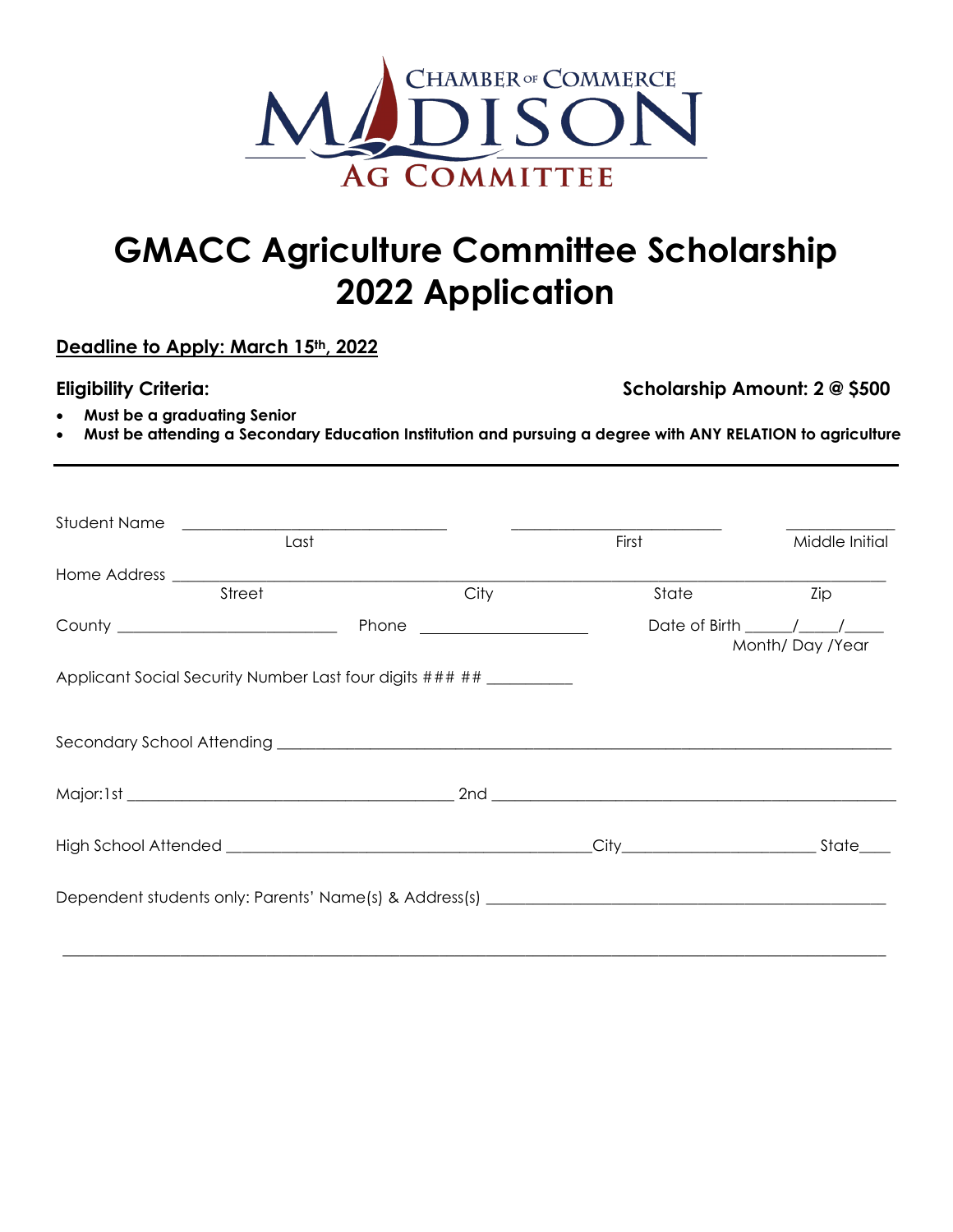

## **GMACC Agriculture Committee Scholarship 2022 Application**

**Deadline to Apply: March 15th, 2022** 

**Eligibility Criteria: Scholarship Amount: 2 @ \$500** 

- **Must be a graduating Senior**
- **Must be attending a Secondary Education Institution and pursuing a degree with ANY RELATION to agriculture**

| Student Name                                                            |      |       |                                     |
|-------------------------------------------------------------------------|------|-------|-------------------------------------|
| Last                                                                    |      | First |                                     |
|                                                                         |      |       |                                     |
| Street                                                                  | City | State | Zip                                 |
| County ___________________________                                      |      |       | Date of Birth / /<br>Month/Day/Year |
| Applicant Social Security Number Last four digits ### ## __________     |      |       |                                     |
|                                                                         |      |       |                                     |
|                                                                         |      |       |                                     |
| High School Attended <b>Fight School Attended Fight School Attended</b> |      |       | City State                          |
|                                                                         |      |       |                                     |
|                                                                         |      |       |                                     |

\_\_\_\_\_\_\_\_\_\_\_\_\_\_\_\_\_\_\_\_\_\_\_\_\_\_\_\_\_\_\_\_\_\_\_\_\_\_\_\_\_\_\_\_\_\_\_\_\_\_\_\_\_\_\_\_\_\_\_\_\_\_\_\_\_\_\_\_\_\_\_\_\_\_\_\_\_\_\_\_\_\_\_\_\_\_\_\_\_\_\_\_\_\_\_\_\_\_\_\_\_\_\_\_\_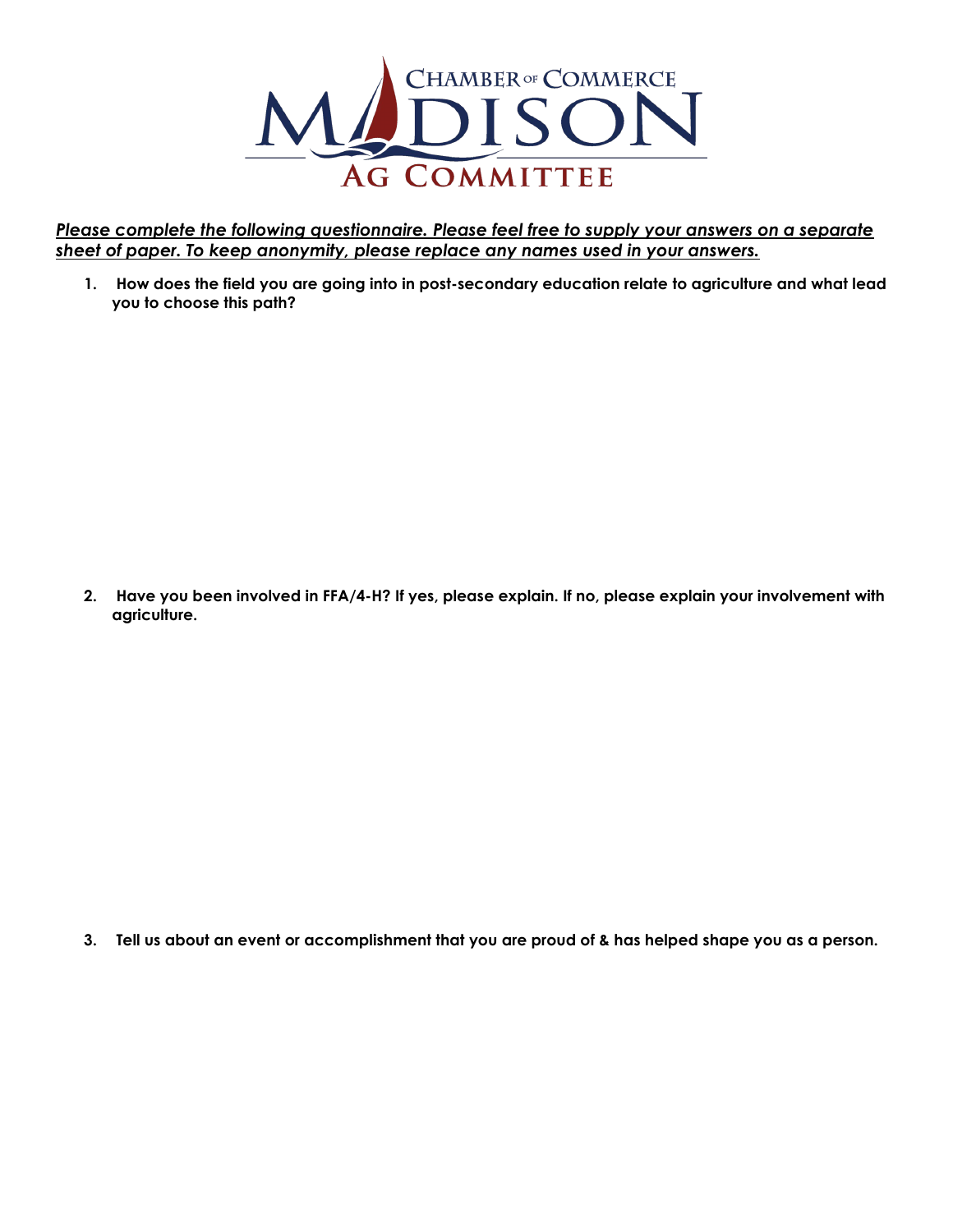

*Please complete the following questionnaire. Please feel free to supply your answers on a separate sheet of paper. To keep anonymity, please replace any names used in your answers.* 

**1. How does the field you are going into in post-secondary education relate to agriculture and what lead you to choose this path?**

**2. Have you been involved in FFA/4-H? If yes, please explain. If no, please explain your involvement with agriculture.**

**3. Tell us about an event or accomplishment that you are proud of & has helped shape you as a person.**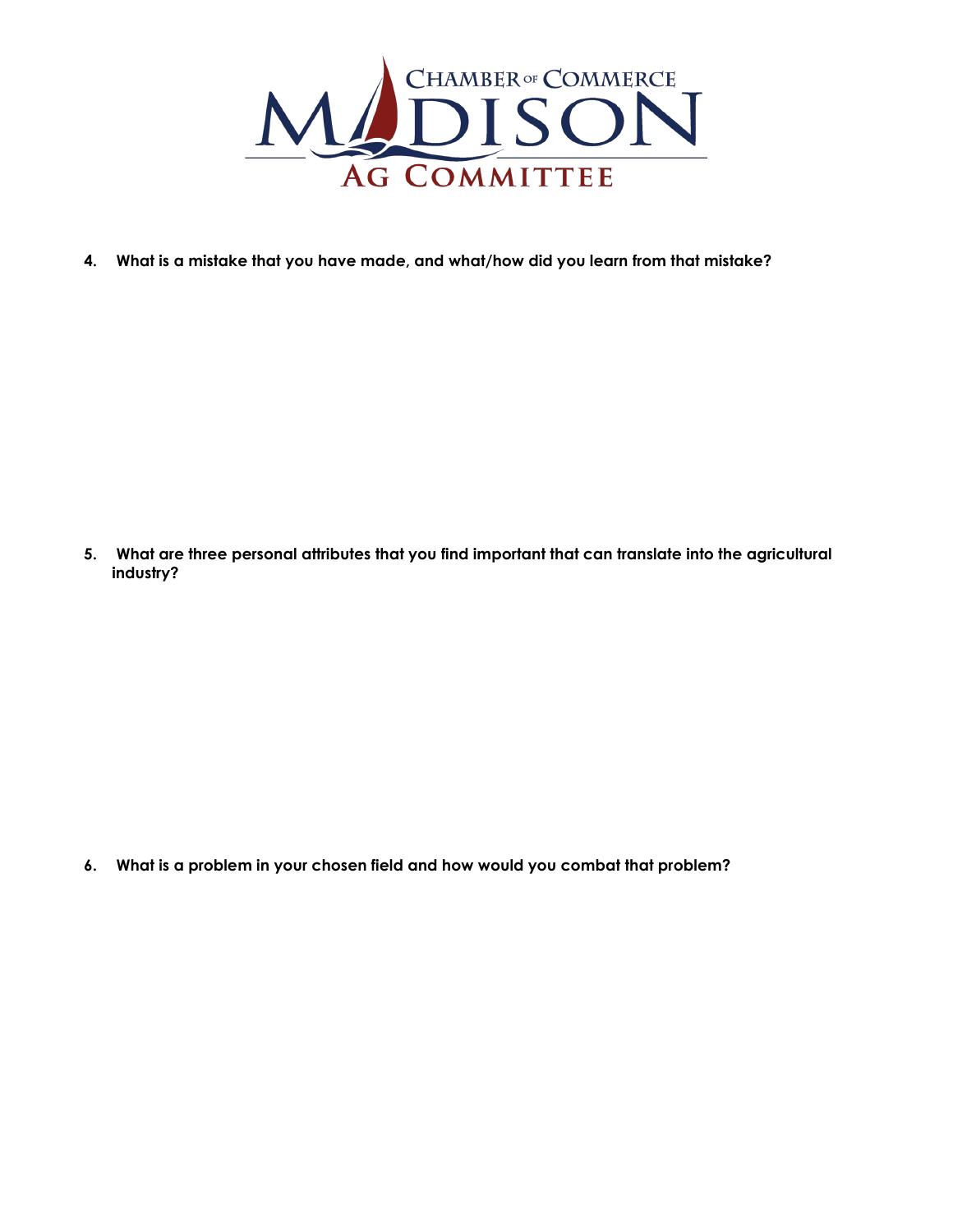

**4. What is a mistake that you have made, and what/how did you learn from that mistake?**

**5. What are three personal attributes that you find important that can translate into the agricultural industry?**

**6. What is a problem in your chosen field and how would you combat that problem?**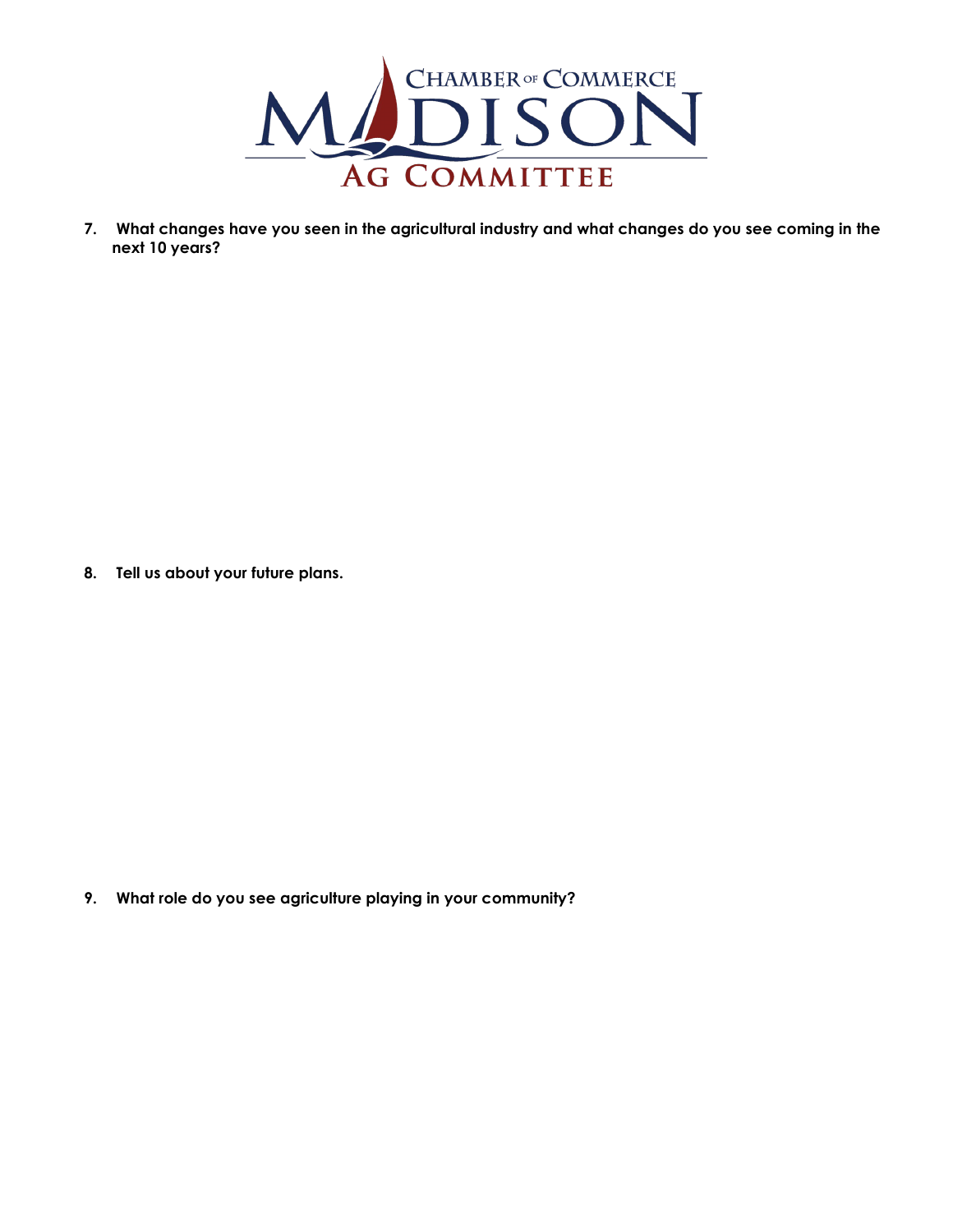

**7. What changes have you seen in the agricultural industry and what changes do you see coming in the next 10 years?**

**8. Tell us about your future plans.** 

**9. What role do you see agriculture playing in your community?**